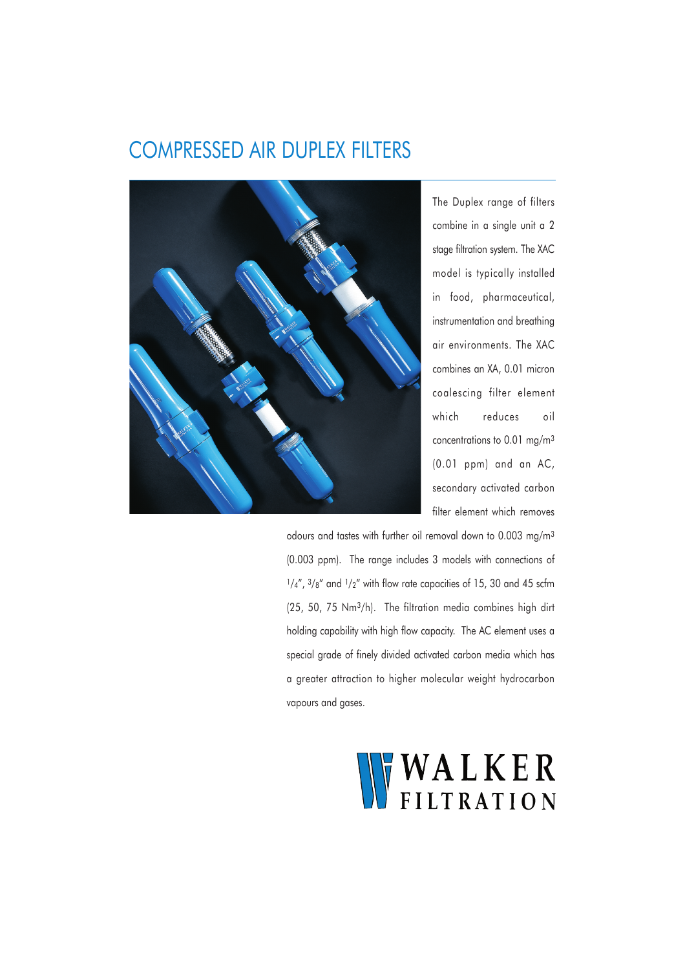## COMPRESSED AIR DUPLEX FILTERS



The Duplex range of filters combine in a single unit a 2 stage filtration system. The XAC model is typically installed in food, pharmaceutical, instrumentation and breathing air environments. The XAC combines an XA, 0.01 micron coalescing filter element which reduces oil concentrations to 0.01 mg/m3 (0.01 ppm) and an AC, secondary activated carbon filter element which removes

odours and tastes with further oil removal down to 0.003 mg/m3 (0.003 ppm). The range includes 3 models with connections of  $1/4''$ ,  $3/8''$  and  $1/2''$  with flow rate capacities of 15, 30 and 45 scfm (25, 50, 75 Nm3/h). The filtration media combines high dirt holding capability with high flow capacity. The AC element uses a special grade of finely divided activated carbon media which has a greater attraction to higher molecular weight hydrocarbon vapours and gases.